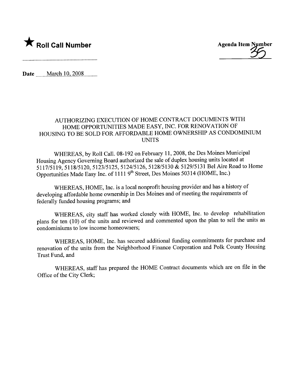

Date March 10, 2008

## AUTHORIZING EXECUTION OF HOME CONTRACT DOCUMENTS WITH HOME OPPORTUNITIES MADE EASY, INC. FOR RENOVATION OF HOUSING TO BE SOLD FOR AFFORDABLE HOME OWNERSHIP AS CONDOMINIUM UNITS

WHEREAS, by Roll CalL. 08-192 on February 11,2008, the Des Moines Municipal Housing Agency Governing Board authorized the sale of duplex housing units located at 5117/5119,5118/5120,5123/5125,5124/5126,5128/5130 & 5129/5131 Bel Aire Road to Home Opportunities Made Easy Inc. of 1111 9th Street, Des Moines 50314 (HOME, Inc.)

WHEREAS, HOME, Inc. is a local nonprofit housing provider and has a history of developing affordable home ownership in Des Moines and of meeting the requirements of federally funded housing programs; and

WHEREAS, city staff has worked closely with HOME, Inc. to develop rehabilitation plans for ten (10) of the units and reviewed and commented upon the plan to sell the units as condominiums to low income homeowners;

WHEREAS, HOME, Inc. has secured additional funding commitments for purchase and renovation of the units from the Neighborhood Finance Corporation and Polk County Housing Trust Fund, and

WHEREAS, staff has prepared the HOME Contract documents which are on fie in the Office of the City Clerk;